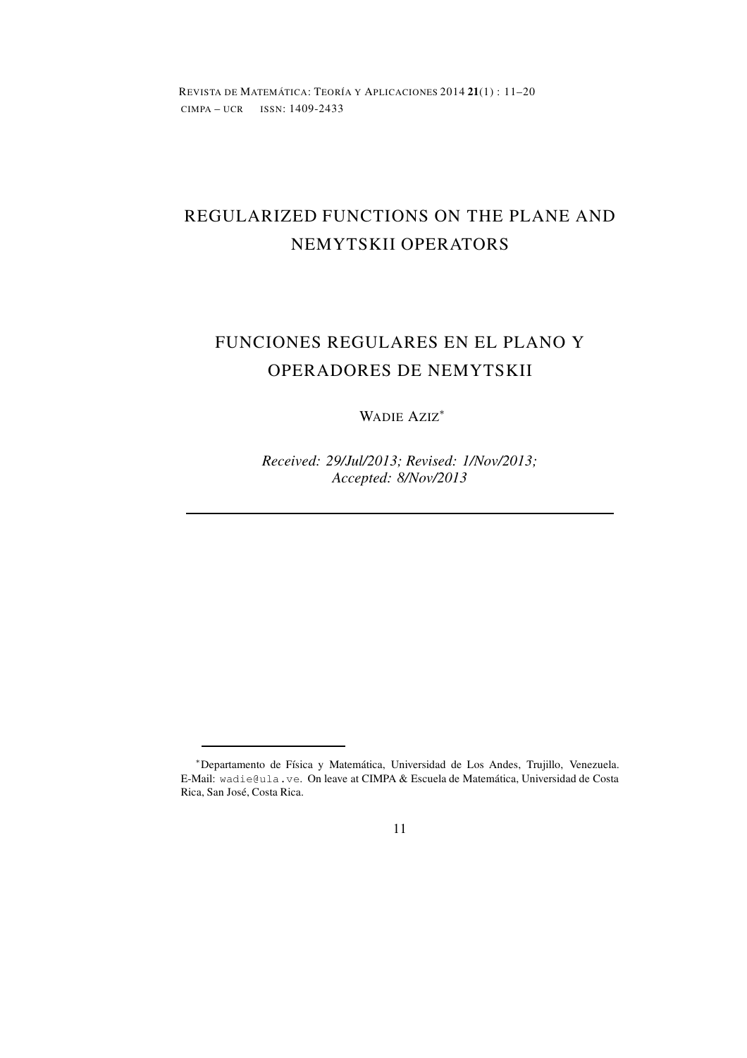REVISTA DE MATEMÁTICA: TEORÍA Y APLICACIONES 2014 **21**(1) : 11–20 CIMPA – UCR ISSN: 1409-2433

# REGULARIZED FUNCTIONS ON THE PLANE AND NEMYTSKII OPERATORS

# FUNCIONES REGULARES EN EL PLANO Y OPERADORES DE NEMYTSKII

### WADIE AZIZ<sup>∗</sup>

*Received: 29/Jul/2013; Revised: 1/Nov/2013; Accepted: 8/Nov/2013*

### 11

<sup>∗</sup>Departamento de Física y Matemática, Universidad de Los Andes, Trujillo, Venezuela. E-Mail: wadie@ula.ve. On leave at CIMPA & Escuela de Matemática, Universidad de Costa Rica, San José, Costa Rica.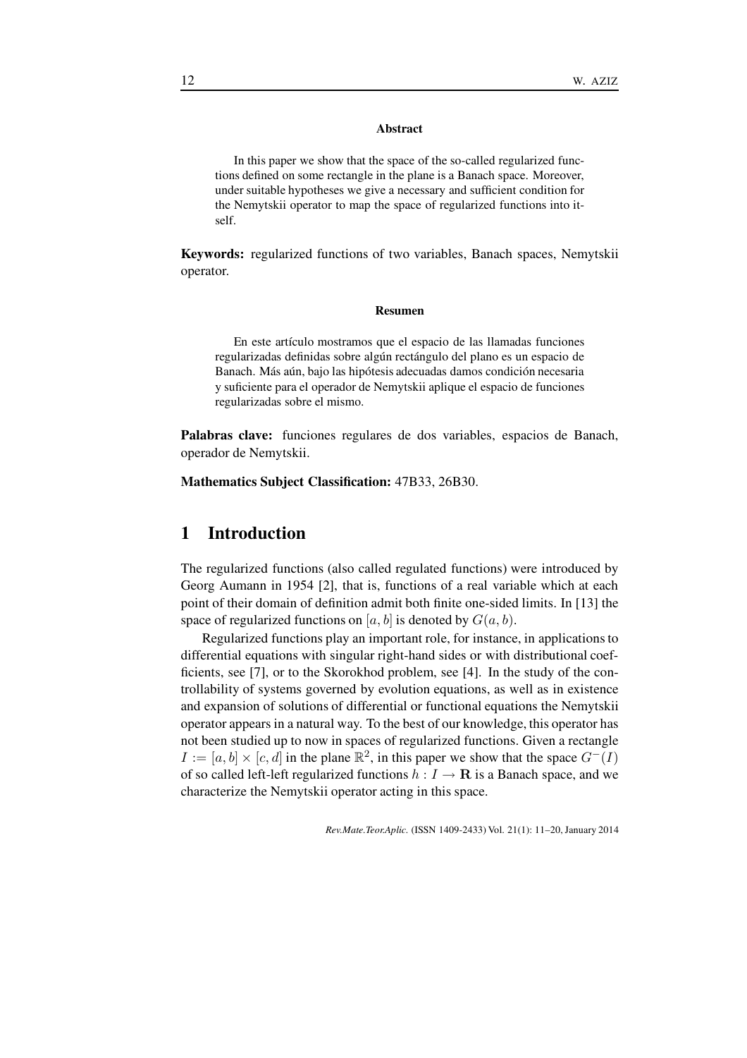#### **Abstract**

In this paper we show that the space of the so-called regularized functions defined on some rectangle in the plane is a Banach space. Moreover, under suitable hypotheses we give a necessary and sufficient condition for the Nemytskii operator to map the space of regularized functions into itself.

**Keywords:** regularized functions of two variables, Banach spaces, Nemytskii operator.

#### **Resumen**

En este artículo mostramos que el espacio de las llamadas funciones regularizadas definidas sobre algún rectángulo del plano es un espacio de Banach. Más aún, bajo las hipótesis adecuadas damos condición necesaria y suficiente para el operador de Nemytskii aplique el espacio de funciones regularizadas sobre el mismo.

**Palabras clave:** funciones regulares de dos variables, espacios de Banach, operador de Nemytskii.

**Mathematics Subject Classification:** 47B33, 26B30.

# **1 Introduction**

The regularized functions (also called regulated functions) were introduced by Georg Aumann in 1954 [2], that is, functions of a real variable which at each point of their domain of definition admit both finite one-sided limits. In [13] the space of regularized functions on [a, b] is denoted by  $G(a, b)$ .

Regularized functions play an important role, for instance, in applications to differential equations with singular right-hand sides or with distributional coefficients, see [7], or to the Skorokhod problem, see [4]. In the study of the controllability of systems governed by evolution equations, as well as in existence and expansion of solutions of differential or functional equations the Nemytskii operator appears in a natural way. To the best of our knowledge, this operator has not been studied up to now in spaces of regularized functions. Given a rectangle  $I := [a, b] \times [c, d]$  in the plane  $\mathbb{R}^2$ , in this paper we show that the space  $G^{-1}(I)$ of so called left-left regularized functions  $h: I \to \mathbf{R}$  is a Banach space, and we characterize the Nemytskii operator acting in this space.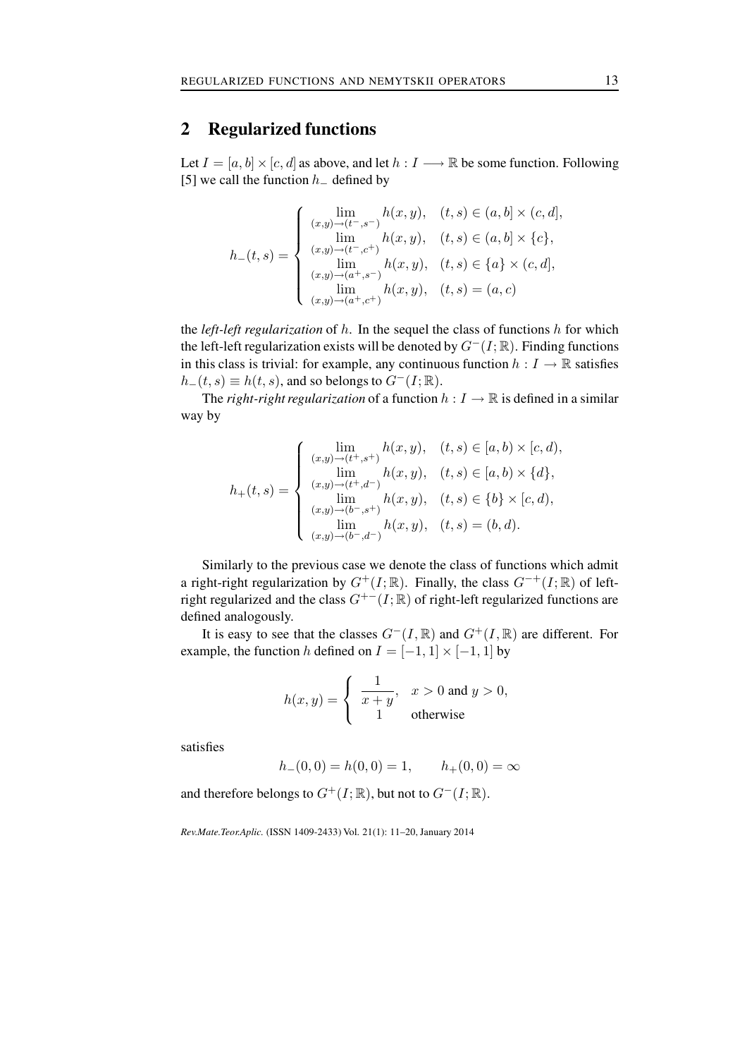# **2 Regularized functions**

Let  $I = [a, b] \times [c, d]$  as above, and let  $h : I \longrightarrow \mathbb{R}$  be some function. Following [5] we call the function  $h_$  defined by

$$
h_{-}(t,s) = \begin{cases} \lim_{(x,y)\to(t^{-},s^{-})} h(x,y), & (t,s) \in (a,b] \times (c,d], \\ \lim_{(x,y)\to(t^{-},c^{+})} h(x,y), & (t,s) \in (a,b] \times \{c\}, \\ \lim_{(x,y)\to(a^{+},s^{-})} h(x,y), & (t,s) \in \{a\} \times (c,d], \\ \lim_{(x,y)\to(a^{+},c^{+})} h(x,y), & (t,s) = (a,c) \end{cases}
$$

the *left-left regularization* of h. In the sequel the class of functions h for which the left-left regularization exists will be denoted by  $G^-(I;\mathbb{R})$ . Finding functions in this class is trivial: for example, any continuous function  $h: I \to \mathbb{R}$  satisfies  $h_-(t, s) \equiv h(t, s)$ , and so belongs to  $G^-(I; \mathbb{R})$ .

The *right-right regularization* of a function  $h: I \to \mathbb{R}$  is defined in a similar way by

$$
h_{+}(t,s) = \begin{cases} \lim_{(x,y)\to(t^{+},s^{+})} h(x,y), & (t,s) \in [a,b) \times [c,d), \\ \lim_{(x,y)\to(t^{+},d^{-})} h(x,y), & (t,s) \in [a,b) \times \{d\}, \\ \lim_{(x,y)\to(b^{-},s^{+})} h(x,y), & (t,s) \in \{b\} \times [c,d), \\ \lim_{(x,y)\to(b^{-},d^{-})} h(x,y), & (t,s) = (b,d). \end{cases}
$$

Similarly to the previous case we denote the class of functions which admit a right-right regularization by  $G^+(I;\mathbb{R})$ . Finally, the class  $G^{-+}(I;\mathbb{R})$  of leftright regularized and the class  $G^{+-}(I;\mathbb{R})$  of right-left regularized functions are defined analogously.

It is easy to see that the classes  $G^{-}(I, \mathbb{R})$  and  $G^{+}(I, \mathbb{R})$  are different. For example, the function h defined on  $I = [-1, 1] \times [-1, 1]$  by

$$
h(x, y) = \begin{cases} \frac{1}{x + y}, & x > 0 \text{ and } y > 0, \\ 1 & \text{otherwise} \end{cases}
$$

satisfies

$$
h_{-}(0,0) = h(0,0) = 1, \qquad h_{+}(0,0) = \infty
$$

and therefore belongs to  $G^+(I;\mathbb{R})$ , but not to  $G^-(I;\mathbb{R})$ .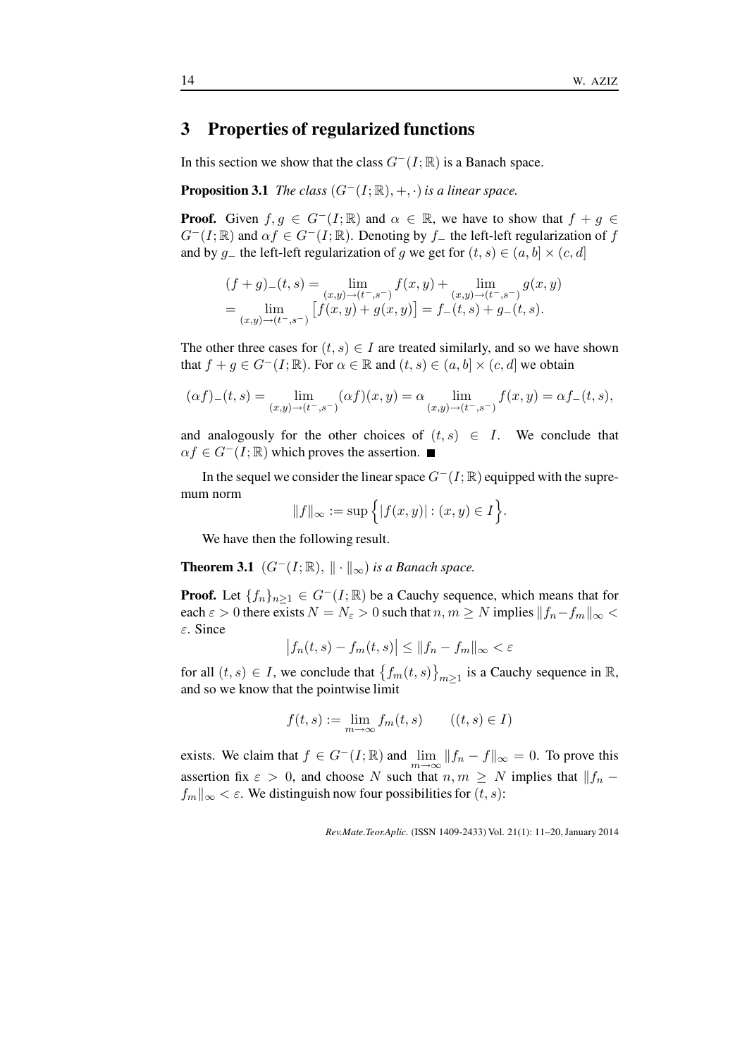## **3 Properties of regularized functions**

In this section we show that the class  $G^-(I; \mathbb{R})$  is a Banach space.

**Proposition 3.1** *The class*  $(G^-(I;\mathbb{R}), +, \cdot)$  *is a linear space.* 

**Proof.** Given  $f, g \in G^{-1}(\mathbb{R})$  and  $\alpha \in \mathbb{R}$ , we have to show that  $f + g \in G$  $G^{-}(I;\mathbb{R})$  and  $\alpha f \in G^{-}(I;\mathbb{R})$ . Denoting by f\_ the left-left regularization of f and by g\_ the left-left regularization of g we get for  $(t, s) \in (a, b] \times (c, d]$ 

$$
(f+g)_{-}(t,s) = \lim_{(x,y)\to(t^{-},s^{-})} f(x,y) + \lim_{(x,y)\to(t^{-},s^{-})} g(x,y)
$$
  
= 
$$
\lim_{(x,y)\to(t^{-},s^{-})} [f(x,y) + g(x,y)] = f_{-}(t,s) + g_{-}(t,s).
$$

The other three cases for  $(t, s) \in I$  are treated similarly, and so we have shown that  $f + g \in G^{-1}(I;\mathbb{R})$ . For  $\alpha \in \mathbb{R}$  and  $(t, s) \in (a, b] \times (c, d]$  we obtain

$$
(\alpha f)_{-}(t,s) = \lim_{(x,y)\to(t^{-},s^{-})} (\alpha f)(x,y) = \alpha \lim_{(x,y)\to(t^{-},s^{-})} f(x,y) = \alpha f_{-}(t,s),
$$

and analogously for the other choices of  $(t, s) \in I$ . We conclude that  $\alpha f \in G^{-1}(\mathbb{R})$  which proves the assertion.

In the sequel we consider the linear space  $G^{-}(I;\mathbb{R})$  equipped with the supremum norm

$$
||f||_{\infty} := \sup \{ |f(x, y)| : (x, y) \in I \}.
$$

We have then the following result.

**Theorem 3.1**  $(G^{-}(I;\mathbb{R}), \|\cdot\|_{\infty})$  *is a Banach space.* 

**Proof.** Let  $\{f_n\}_{n\geq 1} \in G^{-1}(\mathcal{I}; \mathbb{R})$  be a Cauchy sequence, which means that for each  $\varepsilon > 0$  there exists  $N = N_{\varepsilon} > 0$  such that  $n, m \ge N$  implies  $||f_n - f_m||_{\infty} <$ ε. Since

$$
\left|f_n(t,s) - f_m(t,s)\right| \le \|f_n - f_m\|_{\infty} < \varepsilon
$$

for all  $(t, s) \in I$ , we conclude that  $\{f_m(t, s)\}_{m \ge 1}$  is a Cauchy sequence in  $\mathbb{R}$ , and so we know that the pointwise limit

$$
f(t,s) := \lim_{m \to \infty} f_m(t,s) \qquad ((t,s) \in I)
$$

exists. We claim that  $f \in G^-(I;\mathbb{R})$  and  $\lim_{m \to \infty} ||f_n - f||_{\infty} = 0$ . To prove this assertion fix  $\varepsilon > 0$ , and choose N such that  $n, m \geq N$  implies that  $||f_n$  $f_m||_{\infty} < \varepsilon$ . We distinguish now four possibilities for  $(t, s)$ :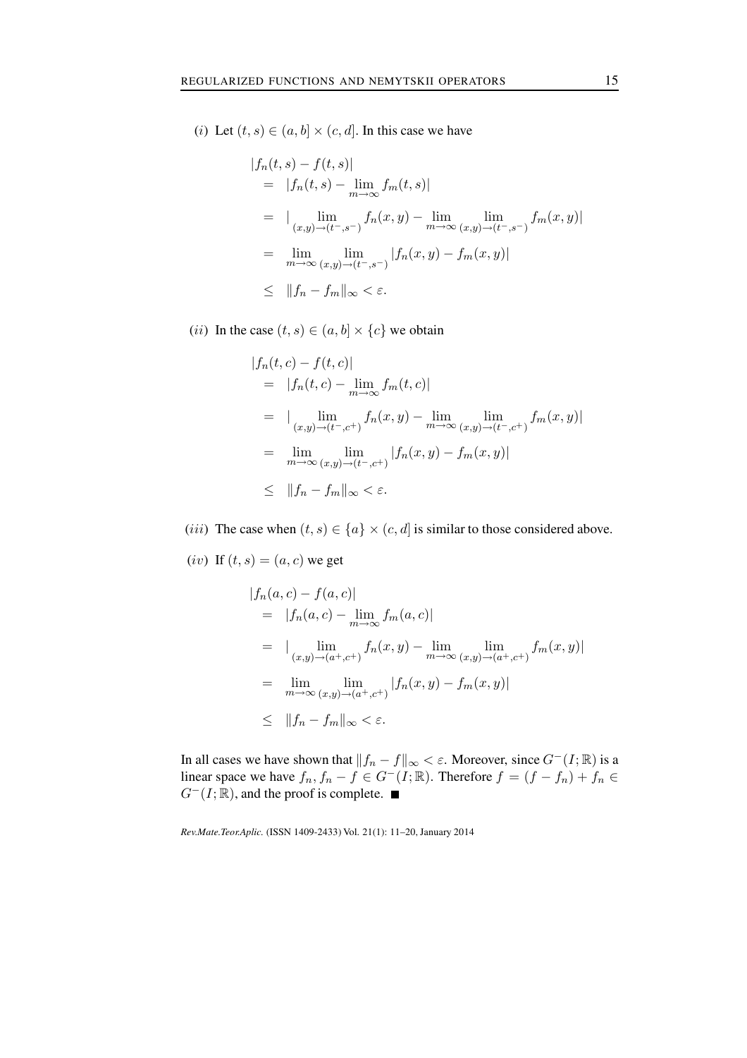(i) Let  $(t, s) \in (a, b] \times (c, d]$ . In this case we have

$$
|f_n(t, s) - f(t, s)|
$$
  
=  $|f_n(t, s) - \lim_{m \to \infty} f_m(t, s)|$   
=  $| \lim_{(x,y) \to (t^-, s^-)} f_n(x, y) - \lim_{m \to \infty} \lim_{(x,y) \to (t^-, s^-)} f_m(x, y)|$   
=  $\lim_{m \to \infty} \lim_{(x,y) \to (t^-, s^-)} |f_n(x, y) - f_m(x, y)|$   
 $\leq ||f_n - f_m||_{\infty} < \varepsilon.$ 

(*ii*) In the case  $(t, s) \in (a, b] \times \{c\}$  we obtain

$$
|f_n(t, c) - f(t, c)|
$$
  
=  $|f_n(t, c) - \lim_{m \to \infty} f_m(t, c)|$   
=  $| \lim_{(x,y) \to (t^-, c^+)} f_n(x, y) - \lim_{m \to \infty} \lim_{(x,y) \to (t^-, c^+)} f_m(x, y)|$   
=  $\lim_{m \to \infty} \lim_{(x,y) \to (t^-, c^+)} |f_n(x, y) - f_m(x, y)|$   
 $\leq ||f_n - f_m||_{\infty} < \varepsilon.$ 

- (*iii*) The case when  $(t, s) \in \{a\} \times (c, d]$  is similar to those considered above.
- (iv) If  $(t, s) = (a, c)$  we get

$$
|f_n(a, c) - f(a, c)|
$$
  
=  $|f_n(a, c) - \lim_{m \to \infty} f_m(a, c)|$   
=  $| \lim_{(x,y) \to (a^+, c^+)} f_n(x, y) - \lim_{m \to \infty} \lim_{(x,y) \to (a^+, c^+)} f_m(x, y)|$   
=  $\lim_{m \to \infty} \lim_{(x,y) \to (a^+, c^+)} |f_n(x, y) - f_m(x, y)|$   
 $\leq ||f_n - f_m||_{\infty} < \varepsilon.$ 

In all cases we have shown that  $||f_n - f||_{\infty} < \varepsilon$ . Moreover, since  $G^{-}(I; \mathbb{R})$  is a linear space we have  $f_n, f_n - f \in G^-(I;\mathbb{R})$ . Therefore  $f = (f - f_n) + f_n \in$  $G^{-}(I;\mathbb{R})$ , and the proof is complete.  $\blacksquare$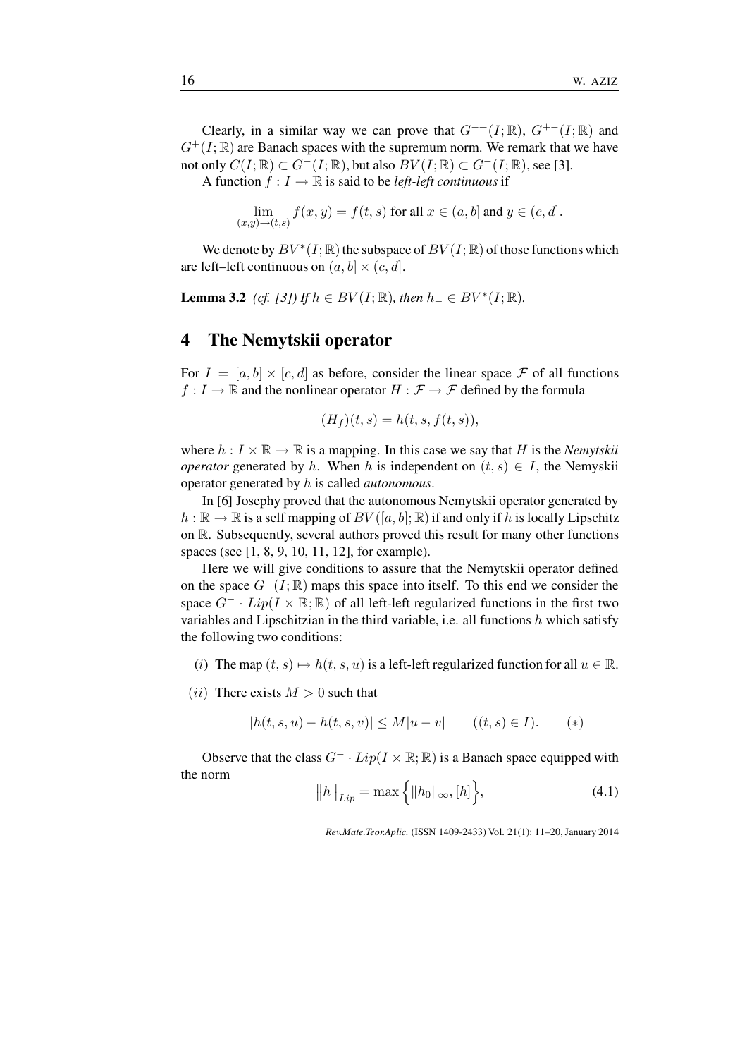Clearly, in a similar way we can prove that  $G^{-+}(I;\mathbb{R})$ ,  $G^{+-}(I;\mathbb{R})$  and  $G^+(I;\mathbb{R})$  are Banach spaces with the supremum norm. We remark that we have not only  $C(I;\mathbb{R}) \subset G^{-}(I;\mathbb{R})$ , but also  $BV(I;\mathbb{R}) \subset G^{-}(I;\mathbb{R})$ , see [3].

A function  $f: I \to \mathbb{R}$  is said to be *left-left continuous* if

$$
\lim_{(x,y)\to(t,s)} f(x,y) = f(t,s) \text{ for all } x \in (a,b] \text{ and } y \in (c,d].
$$

We denote by  $BV^*(I; \mathbb{R})$  the subspace of  $BV(I; \mathbb{R})$  of those functions which are left–left continuous on  $(a, b] \times (c, d]$ .

**Lemma 3.2** *(cf. [3])* If  $h \in BV(I; \mathbb{R})$ *, then*  $h_{-} \in BV^{*}(I; \mathbb{R})$ *.* 

### **4 The Nemytskii operator**

For  $I = [a, b] \times [c, d]$  as before, consider the linear space F of all functions  $f: I \to \mathbb{R}$  and the nonlinear operator  $H: \mathcal{F} \to \mathcal{F}$  defined by the formula

$$
(H_f)(t,s) = h(t,s,f(t,s)),
$$

where  $h: I \times \mathbb{R} \to \mathbb{R}$  is a mapping. In this case we say that H is the *Nemytskii operator* generated by h. When h is independent on  $(t, s) \in I$ , the Nemyskii operator generated by h is called *autonomous*.

In [6] Josephy proved that the autonomous Nemytskii operator generated by  $h : \mathbb{R} \to \mathbb{R}$  is a self mapping of  $BV([a, b]; \mathbb{R})$  if and only if h is locally Lipschitz on R. Subsequently, several authors proved this result for many other functions spaces (see [1, 8, 9, 10, 11, 12], for example).

Here we will give conditions to assure that the Nemytskii operator defined on the space  $G^{-}(I;\mathbb{R})$  maps this space into itself. To this end we consider the space  $G^-$  ·  $Lip(I \times \mathbb{R}; \mathbb{R})$  of all left-left regularized functions in the first two variables and Lipschitzian in the third variable, i.e. all functions  $h$  which satisfy the following two conditions:

- (i) The map  $(t, s) \mapsto h(t, s, u)$  is a left-left regularized function for all  $u \in \mathbb{R}$ .
- (*ii*) There exists  $M > 0$  such that

$$
|h(t, s, u) - h(t, s, v)| \le M|u - v| \qquad ((t, s) \in I). \qquad (*)
$$

Observe that the class  $G^- \cdot Lip(I \times \mathbb{R}; \mathbb{R})$  is a Banach space equipped with the norm

$$
||h||_{Lip} = \max\{|h_0||_{\infty}, [h]\},
$$
\n(4.1)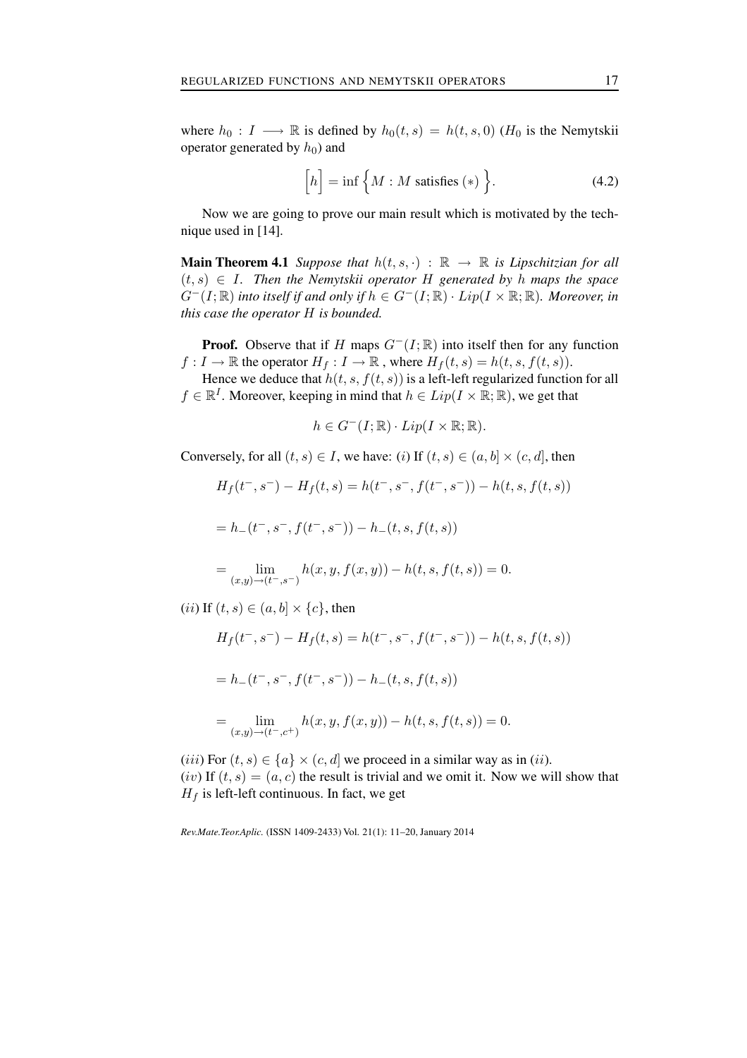where  $h_0 : I \longrightarrow \mathbb{R}$  is defined by  $h_0(t, s) = h(t, s, 0)$  ( $H_0$  is the Nemytskii operator generated by  $h_0$ ) and

$$
\[h\] = \inf \Big\{ M : M \text{ satisfies } (*) \Big\}. \tag{4.2}
$$

Now we are going to prove our main result which is motivated by the technique used in [14].

**Main Theorem 4.1** *Suppose that*  $h(t, s, \cdot) : \mathbb{R} \to \mathbb{R}$  *is Lipschitzian for all*  $(t, s) \in I$ . Then the Nemytskii operator H generated by h maps the space  $G^{-}(I;\mathbb{R})$  *into itself if and only if*  $h \in G^{-}(I;\mathbb{R}) \cdot Lip(I \times \mathbb{R};\mathbb{R})$ *. Moreover, in this case the operator* H *is bounded.*

**Proof.** Observe that if H maps  $G^{-}(I;\mathbb{R})$  into itself then for any function  $f: I \to \mathbb{R}$  the operator  $H_f: I \to \mathbb{R}$ , where  $H_f(t, s) = h(t, s, f(t, s))$ .

Hence we deduce that  $h(t, s, f(t, s))$  is a left-left regularized function for all  $f \in \mathbb{R}^I$ . Moreover, keeping in mind that  $h \in Lip(I \times \mathbb{R}; \mathbb{R})$ , we get that

$$
h \in G^{-}(I; \mathbb{R}) \cdot Lip(I \times \mathbb{R}; \mathbb{R}).
$$

Conversely, for all  $(t, s) \in I$ , we have:  $(i)$  If  $(t, s) \in (a, b] \times (c, d]$ , then

$$
H_f(t^-, s^-) - H_f(t, s) = h(t^-, s^-, f(t^-, s^-)) - h(t, s, f(t, s))
$$
  
=  $h_-(t^-, s^-, f(t^-, s^-)) - h_-(t, s, f(t, s))$ 

$$
= \lim_{(x,y)\to(t^-,s^-)} h(x,y,f(x,y)) - h(t,s,f(t,s)) = 0.
$$

(*ii*) If  $(t, s) \in (a, b] \times \{c\}$ , then

$$
H_f(t^-, s^-) - H_f(t, s) = h(t^-, s^-, f(t^-, s^-)) - h(t, s, f(t, s))
$$

$$
= h_{-}(t^-, s^-, f(t^-, s^-)) - h_{-}(t, s, f(t, s))
$$

$$
= \lim_{(x,y)\to(t^-,c^+)} h(x,y,f(x,y)) - h(t,s,f(t,s)) = 0.
$$

(*iii*) For  $(t, s) \in \{a\} \times (c, d]$  we proceed in a similar way as in (*ii*). (iv) If  $(t, s)=(a, c)$  the result is trivial and we omit it. Now we will show that  $H_f$  is left-left continuous. In fact, we get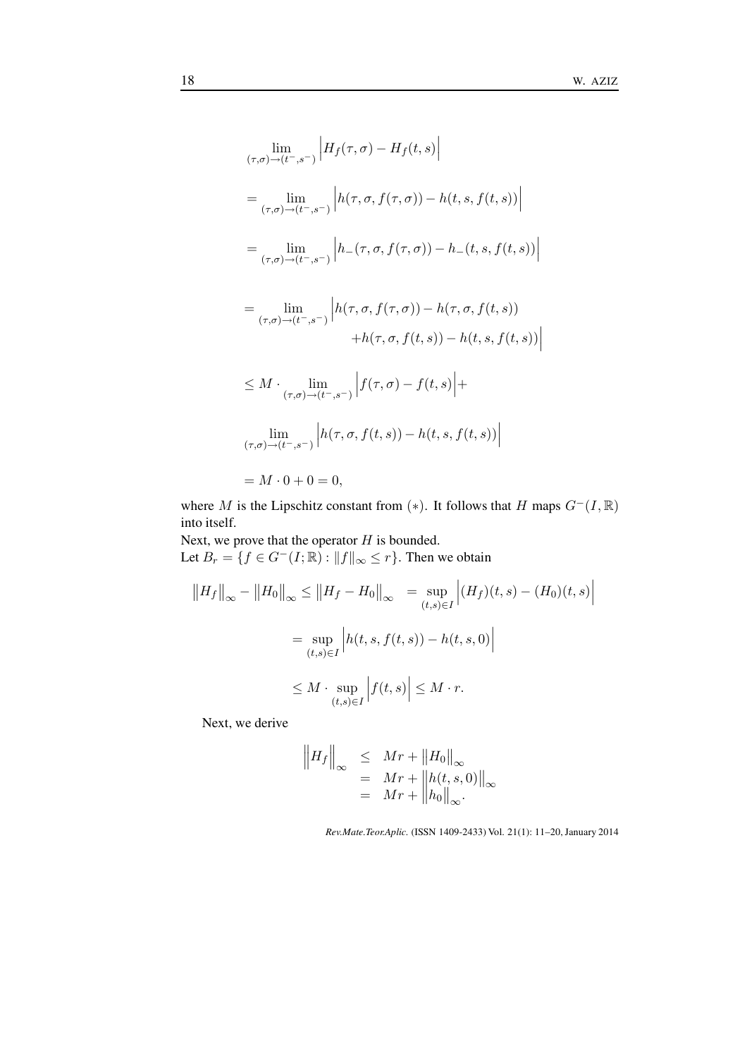$$
\lim_{(\tau,\sigma)\to(t^-,s^-)} \left| H_f(\tau,\sigma) - H_f(t,s) \right|
$$
\n
$$
= \lim_{(\tau,\sigma)\to(t^-,s^-)} \left| h(\tau,\sigma,f(\tau,\sigma)) - h(t,s,f(t,s)) \right|
$$
\n
$$
= \lim_{(\tau,\sigma)\to(t^-,s^-)} \left| h_-(\tau,\sigma,f(\tau,\sigma)) - h_-(t,s,f(t,s)) \right|
$$
\n
$$
= \lim_{(\tau,\sigma)\to(t^-,s^-)} \left| h(\tau,\sigma,f(\tau,\sigma)) - h(\tau,\sigma,f(t,s)) \right|
$$
\n
$$
+ h(\tau,\sigma,f(t,s)) - h(t,s,f(t,s)) \right|
$$
\n
$$
\leq M \cdot \lim_{(\tau,\sigma)\to(t^-,s^-)} \left| f(\tau,\sigma) - f(t,s) \right| +
$$
\n
$$
\lim_{(\tau,\sigma)\to(t^-,s^-)} \left| h(\tau,\sigma,f(t,s)) - h(t,s,f(t,s)) \right|
$$
\n
$$
= M \cdot 0 + 0 = 0,
$$

where M is the Lipschitz constant from (\*). It follows that H maps  $G^-(I, \mathbb{R})$ into itself.

Next, we prove that the operator  $H$  is bounded. Let  $B_r = \{f \in G^-(I;\mathbb{R}) : ||f||_{\infty} \leq r\}$ . Then we obtain

$$
||H_f||_{\infty} - ||H_0||_{\infty} \le ||H_f - H_0||_{\infty} = \sup_{(t,s)\in I} |(H_f)(t,s) - (H_0)(t,s)|
$$
  

$$
= \sup_{(t,s)\in I} |h(t,s,f(t,s)) - h(t,s,0)|
$$
  

$$
\le M \cdot \sup_{(t,s)\in I} |f(t,s)| \le M \cdot r.
$$

Next, we derive

$$
\begin{aligned}\n\left\|H_f\right\|_{\infty} &\leq Mr + \left\|H_0\right\|_{\infty} \\
&= Mr + \left\|h(t, s, 0)\right\|_{\infty} \\
&= Mr + \left\|h_0\right\|_{\infty}.\n\end{aligned}
$$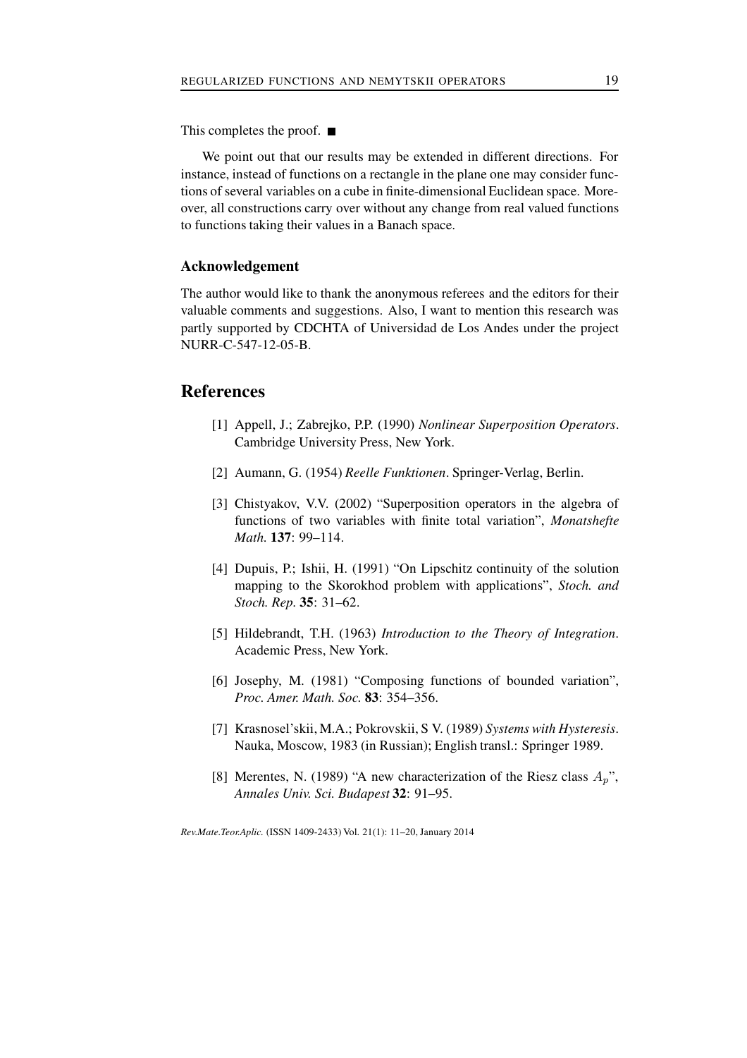This completes the proof. ■

We point out that our results may be extended in different directions. For instance, instead of functions on a rectangle in the plane one may consider functions of several variables on a cube in finite-dimensional Euclidean space. Moreover, all constructions carry over without any change from real valued functions to functions taking their values in a Banach space.

### **Acknowledgement**

The author would like to thank the anonymous referees and the editors for their valuable comments and suggestions. Also, I want to mention this research was partly supported by CDCHTA of Universidad de Los Andes under the project NURR-C-547-12-05-B.

## **References**

- [1] Appell, J.; Zabrejko, P.P. (1990) *Nonlinear Superposition Operators*. Cambridge University Press, New York.
- [2] Aumann, G. (1954) *Reelle Funktionen*. Springer-Verlag, Berlin.
- [3] Chistyakov, V.V. (2002) "Superposition operators in the algebra of functions of two variables with finite total variation", *Monatshefte Math.* **137**: 99–114.
- [4] Dupuis, P.; Ishii, H. (1991) "On Lipschitz continuity of the solution mapping to the Skorokhod problem with applications", *Stoch. and Stoch. Rep.* **35**: 31–62.
- [5] Hildebrandt, T.H. (1963) *Introduction to the Theory of Integration*. Academic Press, New York.
- [6] Josephy, M. (1981) "Composing functions of bounded variation", *Proc. Amer. Math. Soc.* **83**: 354–356.
- [7] Krasnosel'skii, M.A.; Pokrovskii, S V. (1989) *Systems with Hysteresis*. Nauka, Moscow, 1983 (in Russian); English transl.: Springer 1989.
- [8] Merentes, N. (1989) "A new characterization of the Riesz class  $A_n$ ", *Annales Univ. Sci. Budapest* **32**: 91–95.